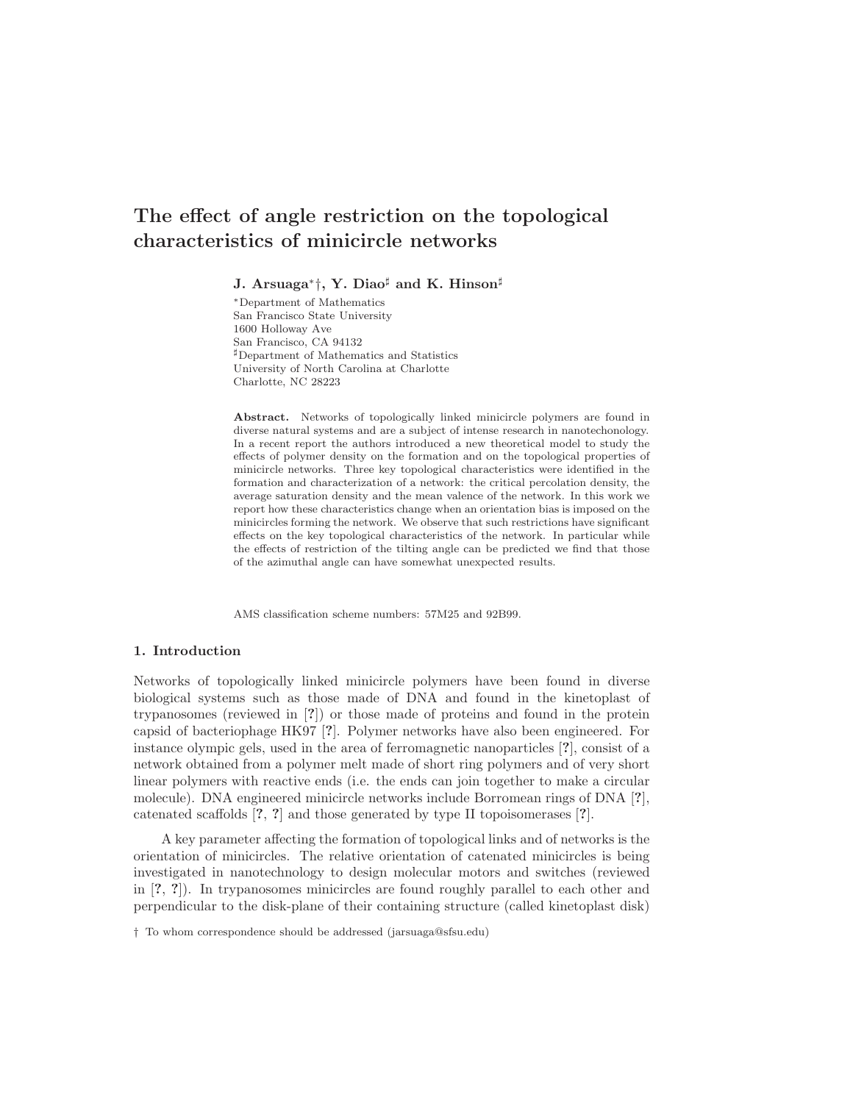# The effect of angle restriction on the topological characteristics of minicircle networks

J. Arsuaga∗ †, Y. Diao<sup>♯</sup> and K. Hinson<sup>♯</sup>

<sup>∗</sup>Department of Mathematics San Francisco State University 1600 Holloway Ave San Francisco, CA 94132 <sup>♯</sup>Department of Mathematics and Statistics University of North Carolina at Charlotte Charlotte, NC 28223

Abstract. Networks of topologically linked minicircle polymers are found in diverse natural systems and are a subject of intense research in nanotechonology. In a recent report the authors introduced a new theoretical model to study the effects of polymer density on the formation and on the topological properties of minicircle networks. Three key topological characteristics were identified in the formation and characterization of a network: the critical percolation density, the average saturation density and the mean valence of the network. In this work we report how these characteristics change when an orientation bias is imposed on the minicircles forming the network. We observe that such restrictions have significant effects on the key topological characteristics of the network. In particular while the effects of restriction of the tilting angle can be predicted we find that those of the azimuthal angle can have somewhat unexpected results.

AMS classification scheme numbers: 57M25 and 92B99.

# 1. Introduction

Networks of topologically linked minicircle polymers have been found in diverse biological systems such as those made of DNA and found in the kinetoplast of trypanosomes (reviewed in [?]) or those made of proteins and found in the protein capsid of bacteriophage HK97 [?]. Polymer networks have also been engineered. For instance olympic gels, used in the area of ferromagnetic nanoparticles [?], consist of a network obtained from a polymer melt made of short ring polymers and of very short linear polymers with reactive ends (i.e. the ends can join together to make a circular molecule). DNA engineered minicircle networks include Borromean rings of DNA [?], catenated scaffolds [?, ?] and those generated by type II topoisomerases [?].

A key parameter affecting the formation of topological links and of networks is the orientation of minicircles. The relative orientation of catenated minicircles is being investigated in nanotechnology to design molecular motors and switches (reviewed in [?, ?]). In trypanosomes minicircles are found roughly parallel to each other and perpendicular to the disk-plane of their containing structure (called kinetoplast disk)

† To whom correspondence should be addressed (jarsuaga@sfsu.edu)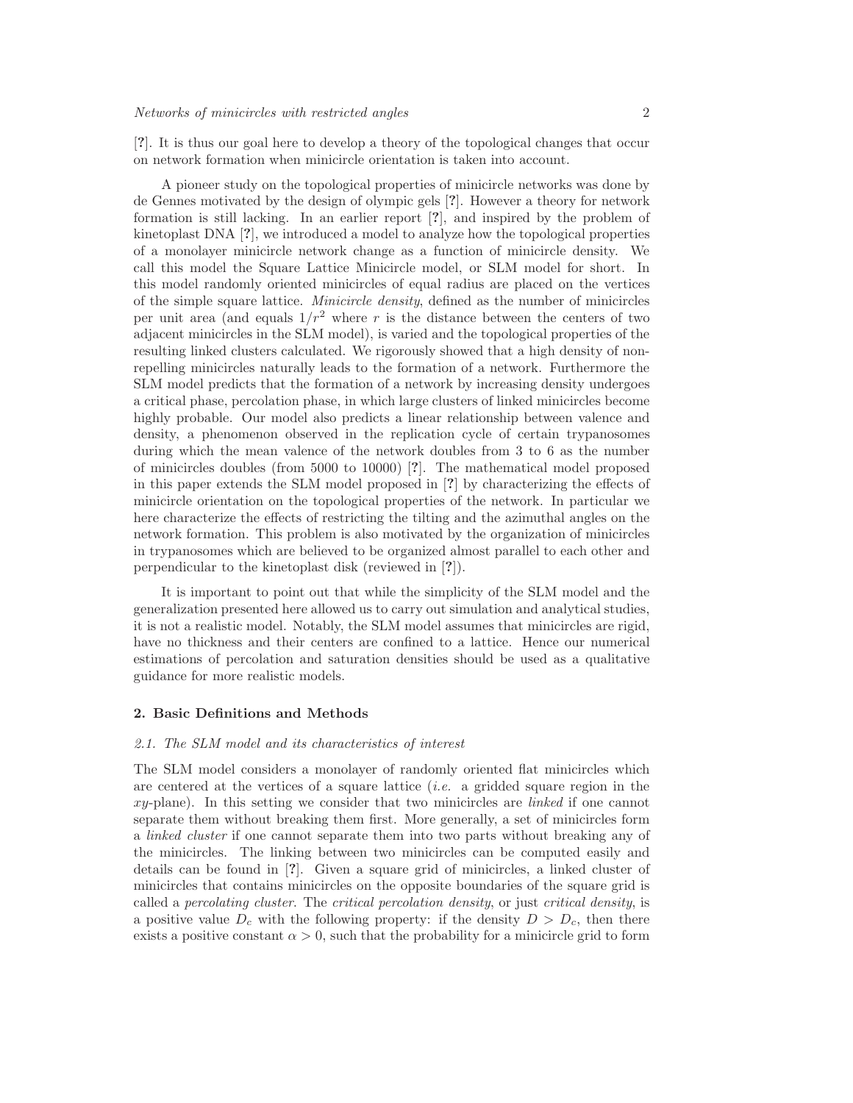[?]. It is thus our goal here to develop a theory of the topological changes that occur on network formation when minicircle orientation is taken into account.

A pioneer study on the topological properties of minicircle networks was done by de Gennes motivated by the design of olympic gels [?]. However a theory for network formation is still lacking. In an earlier report [?], and inspired by the problem of kinetoplast DNA [?], we introduced a model to analyze how the topological properties of a monolayer minicircle network change as a function of minicircle density. We call this model the Square Lattice Minicircle model, or SLM model for short. In this model randomly oriented minicircles of equal radius are placed on the vertices of the simple square lattice. Minicircle density, defined as the number of minicircles per unit area (and equals  $1/r^2$  where r is the distance between the centers of two adjacent minicircles in the SLM model), is varied and the topological properties of the resulting linked clusters calculated. We rigorously showed that a high density of nonrepelling minicircles naturally leads to the formation of a network. Furthermore the SLM model predicts that the formation of a network by increasing density undergoes a critical phase, percolation phase, in which large clusters of linked minicircles become highly probable. Our model also predicts a linear relationship between valence and density, a phenomenon observed in the replication cycle of certain trypanosomes during which the mean valence of the network doubles from 3 to 6 as the number of minicircles doubles (from 5000 to 10000) [?]. The mathematical model proposed in this paper extends the SLM model proposed in [?] by characterizing the effects of minicircle orientation on the topological properties of the network. In particular we here characterize the effects of restricting the tilting and the azimuthal angles on the network formation. This problem is also motivated by the organization of minicircles in trypanosomes which are believed to be organized almost parallel to each other and perpendicular to the kinetoplast disk (reviewed in [?]).

It is important to point out that while the simplicity of the SLM model and the generalization presented here allowed us to carry out simulation and analytical studies, it is not a realistic model. Notably, the SLM model assumes that minicircles are rigid, have no thickness and their centers are confined to a lattice. Hence our numerical estimations of percolation and saturation densities should be used as a qualitative guidance for more realistic models.

### 2. Basic Definitions and Methods

# 2.1. The SLM model and its characteristics of interest

The SLM model considers a monolayer of randomly oriented flat minicircles which are centered at the vertices of a square lattice (*i.e.* a gridded square region in the  $xy$ -plane). In this setting we consider that two minicircles are *linked* if one cannot separate them without breaking them first. More generally, a set of minicircles form a *linked cluster* if one cannot separate them into two parts without breaking any of the minicircles. The linking between two minicircles can be computed easily and details can be found in [?]. Given a square grid of minicircles, a linked cluster of minicircles that contains minicircles on the opposite boundaries of the square grid is called a percolating cluster. The critical percolation density, or just critical density, is a positive value  $D_c$  with the following property: if the density  $D > D_c$ , then there exists a positive constant  $\alpha > 0$ , such that the probability for a minicircle grid to form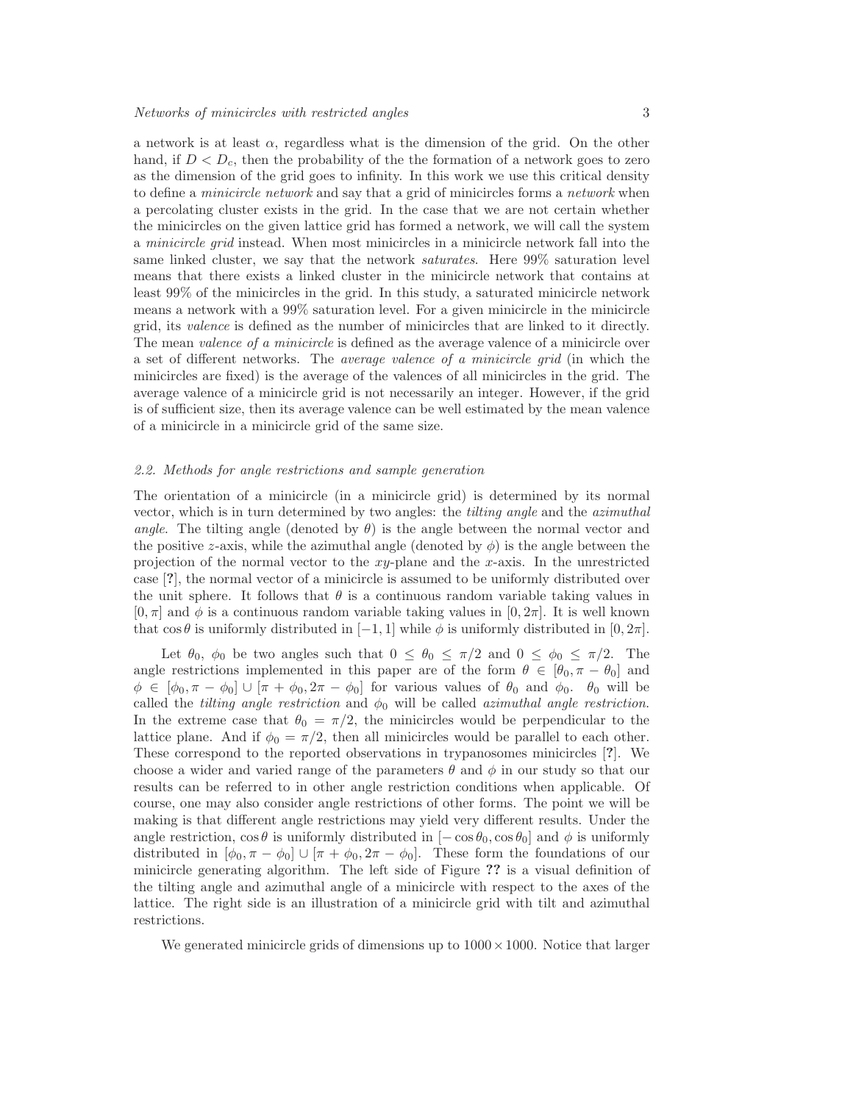a network is at least  $\alpha$ , regardless what is the dimension of the grid. On the other hand, if  $D < D<sub>c</sub>$ , then the probability of the the formation of a network goes to zero as the dimension of the grid goes to infinity. In this work we use this critical density to define a *minicircle network* and say that a grid of minicircles forms a *network* when a percolating cluster exists in the grid. In the case that we are not certain whether the minicircles on the given lattice grid has formed a network, we will call the system a minicircle grid instead. When most minicircles in a minicircle network fall into the same linked cluster, we say that the network *saturates*. Here 99% saturation level means that there exists a linked cluster in the minicircle network that contains at least 99% of the minicircles in the grid. In this study, a saturated minicircle network means a network with a 99% saturation level. For a given minicircle in the minicircle grid, its valence is defined as the number of minicircles that are linked to it directly. The mean valence of a minicircle is defined as the average valence of a minicircle over a set of different networks. The average valence of a minicircle grid (in which the minicircles are fixed) is the average of the valences of all minicircles in the grid. The average valence of a minicircle grid is not necessarily an integer. However, if the grid is of sufficient size, then its average valence can be well estimated by the mean valence of a minicircle in a minicircle grid of the same size.

#### 2.2. Methods for angle restrictions and sample generation

The orientation of a minicircle (in a minicircle grid) is determined by its normal vector, which is in turn determined by two angles: the *tilting angle* and the *azimuthal* angle. The tilting angle (denoted by  $\theta$ ) is the angle between the normal vector and the positive z-axis, while the azimuthal angle (denoted by  $\phi$ ) is the angle between the projection of the normal vector to the  $xy$ -plane and the x-axis. In the unrestricted case [?], the normal vector of a minicircle is assumed to be uniformly distributed over the unit sphere. It follows that  $\theta$  is a continuous random variable taking values in  $[0, \pi]$  and  $\phi$  is a continuous random variable taking values in  $[0, 2\pi]$ . It is well known that  $\cos \theta$  is uniformly distributed in  $[-1, 1]$  while  $\phi$  is uniformly distributed in  $[0, 2\pi]$ .

Let  $\theta_0$ ,  $\phi_0$  be two angles such that  $0 \leq \theta_0 \leq \pi/2$  and  $0 \leq \phi_0 \leq \pi/2$ . The angle restrictions implemented in this paper are of the form  $\theta \in [\theta_0, \pi - \theta_0]$  and  $\phi \in [\phi_0, \pi - \phi_0] \cup [\pi + \phi_0, 2\pi - \phi_0]$  for various values of  $\theta_0$  and  $\phi_0$ .  $\theta_0$  will be called the tilting angle restriction and  $\phi_0$  will be called azimuthal angle restriction. In the extreme case that  $\theta_0 = \pi/2$ , the minicircles would be perpendicular to the lattice plane. And if  $\phi_0 = \pi/2$ , then all minicircles would be parallel to each other. These correspond to the reported observations in trypanosomes minicircles [?]. We choose a wider and varied range of the parameters  $\theta$  and  $\phi$  in our study so that our results can be referred to in other angle restriction conditions when applicable. Of course, one may also consider angle restrictions of other forms. The point we will be making is that different angle restrictions may yield very different results. Under the angle restriction,  $\cos \theta$  is uniformly distributed in  $[-\cos \theta_0, \cos \theta_0]$  and  $\phi$  is uniformly distributed in  $[\phi_0, \pi - \phi_0] \cup [\pi + \phi_0, 2\pi - \phi_0]$ . These form the foundations of our minicircle generating algorithm. The left side of Figure ?? is a visual definition of the tilting angle and azimuthal angle of a minicircle with respect to the axes of the lattice. The right side is an illustration of a minicircle grid with tilt and azimuthal restrictions.

We generated minicircle grids of dimensions up to  $1000 \times 1000$ . Notice that larger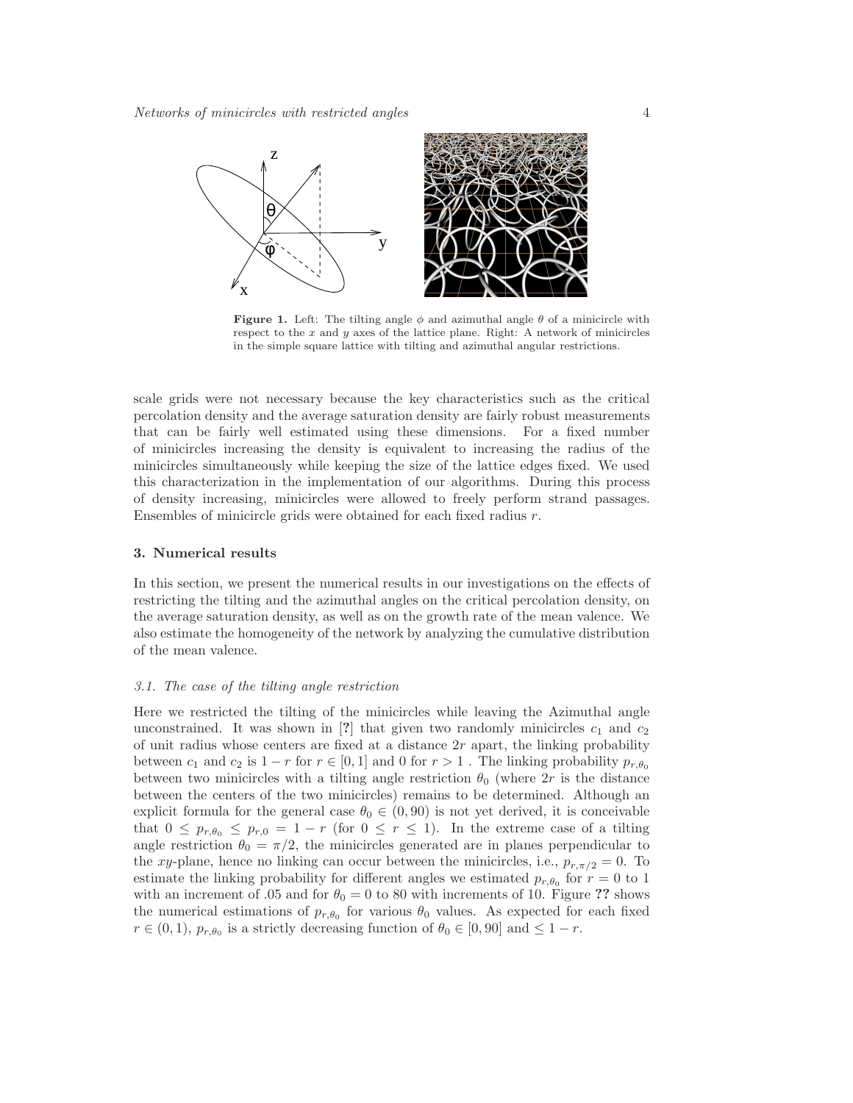

**Figure 1.** Left: The tilting angle  $\phi$  and azimuthal angle  $\theta$  of a minicircle with respect to the  $x$  and  $y$  axes of the lattice plane. Right: A network of minicircles in the simple square lattice with tilting and azimuthal angular restrictions.

scale grids were not necessary because the key characteristics such as the critical percolation density and the average saturation density are fairly robust measurements that can be fairly well estimated using these dimensions. For a fixed number of minicircles increasing the density is equivalent to increasing the radius of the minicircles simultaneously while keeping the size of the lattice edges fixed. We used this characterization in the implementation of our algorithms. During this process of density increasing, minicircles were allowed to freely perform strand passages. Ensembles of minicircle grids were obtained for each fixed radius  $r$ .

# 3. Numerical results

In this section, we present the numerical results in our investigations on the effects of restricting the tilting and the azimuthal angles on the critical percolation density, on the average saturation density, as well as on the growth rate of the mean valence. We also estimate the homogeneity of the network by analyzing the cumulative distribution of the mean valence.

#### 3.1. The case of the tilting angle restriction

Here we restricted the tilting of the minicircles while leaving the Azimuthal angle unconstrained. It was shown in [?] that given two randomly minicircles  $c_1$  and  $c_2$ of unit radius whose centers are fixed at a distance  $2r$  apart, the linking probability between  $c_1$  and  $c_2$  is  $1 - r$  for  $r \in [0, 1]$  and 0 for  $r > 1$ . The linking probability  $p_{r, \theta_0}$ between two minicircles with a tilting angle restriction  $\theta_0$  (where 2r is the distance between the centers of the two minicircles) remains to be determined. Although an explicit formula for the general case  $\theta_0 \in (0, 90)$  is not yet derived, it is conceivable that  $0 \leq p_{r,\theta_0} \leq p_{r,0} = 1 - r$  (for  $0 \leq r \leq 1$ ). In the extreme case of a tilting angle restriction  $\theta_0 = \pi/2$ , the minicircles generated are in planes perpendicular to the xy-plane, hence no linking can occur between the minicircles, i.e.,  $p_{r,\pi/2} = 0$ . To estimate the linking probability for different angles we estimated  $p_{r,\theta_0}$  for  $r=0$  to 1 with an increment of .05 and for  $\theta_0 = 0$  to 80 with increments of 10. Figure ?? shows the numerical estimations of  $p_{r,\theta_0}$  for various  $\theta_0$  values. As expected for each fixed  $r \in (0,1)$ ,  $p_{r,\theta_0}$  is a strictly decreasing function of  $\theta_0 \in [0,90]$  and  $\leq 1-r$ .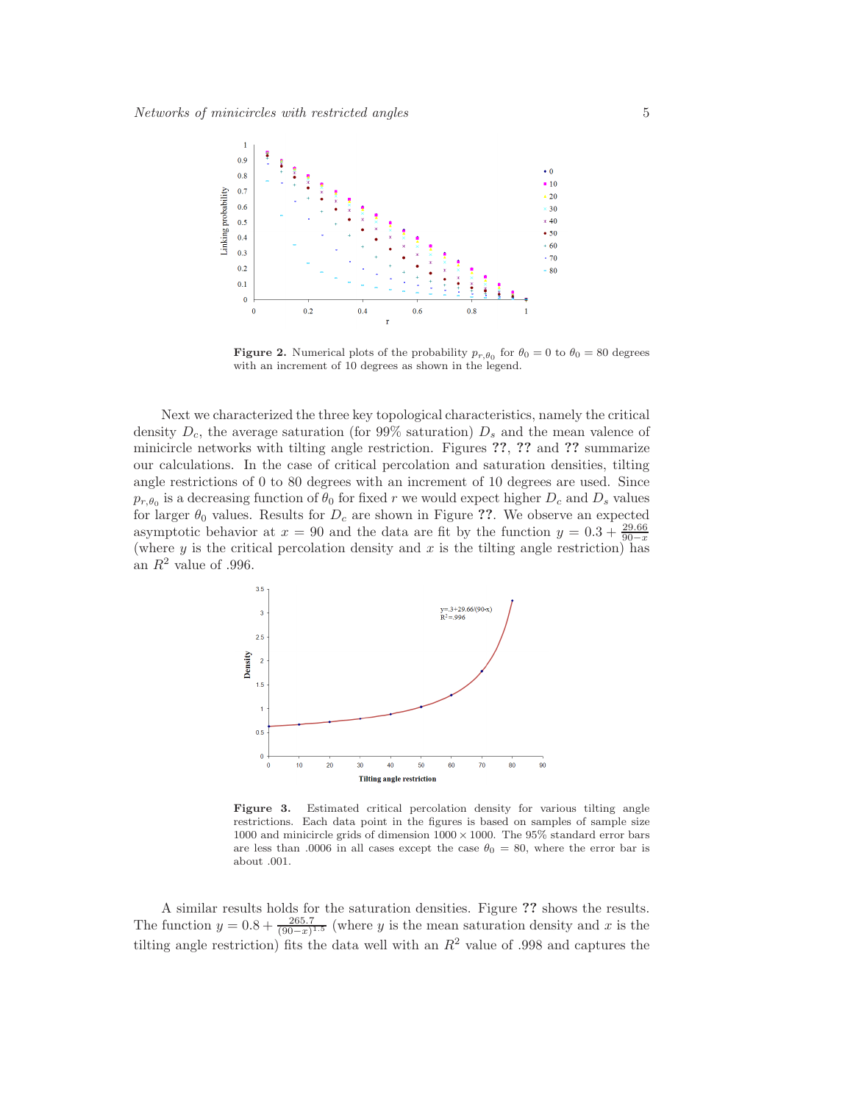

**Figure 2.** Numerical plots of the probability  $p_{r, \theta_0}$  for  $\theta_0 = 0$  to  $\theta_0 = 80$  degrees with an increment of 10 degrees as shown in the legend.

Next we characterized the three key topological characteristics, namely the critical density  $D_c$ , the average saturation (for 99% saturation)  $D_s$  and the mean valence of minicircle networks with tilting angle restriction. Figures ??, ?? and ?? summarize our calculations. In the case of critical percolation and saturation densities, tilting angle restrictions of 0 to 80 degrees with an increment of 10 degrees are used. Since  $p_{r,\theta_0}$  is a decreasing function of  $\theta_0$  for fixed r we would expect higher  $D_c$  and  $D_s$  values for larger  $\theta_0$  values. Results for  $D_c$  are shown in Figure ??. We observe an expected asymptotic behavior at  $x = 90$  and the data are fit by the function  $y = 0.3 + \frac{29.66}{90-x}$ (where  $y$  is the critical percolation density and  $x$  is the tilting angle restriction) has an  $R^2$  value of .996.



Figure 3. Estimated critical percolation density for various tilting angle restrictions. Each data point in the figures is based on samples of sample size 1000 and minicircle grids of dimension  $1000 \times 1000$ . The 95% standard error bars are less than .0006 in all cases except the case  $\theta_0 = 80$ , where the error bar is about .001.

A similar results holds for the saturation densities. Figure ?? shows the results. The function  $y = 0.8 + \frac{265.7}{(90-x)^{1.5}}$  (where y is the mean saturation density and x is the tilting angle restriction) fits the data well with an  $R^2$  value of .998 and captures the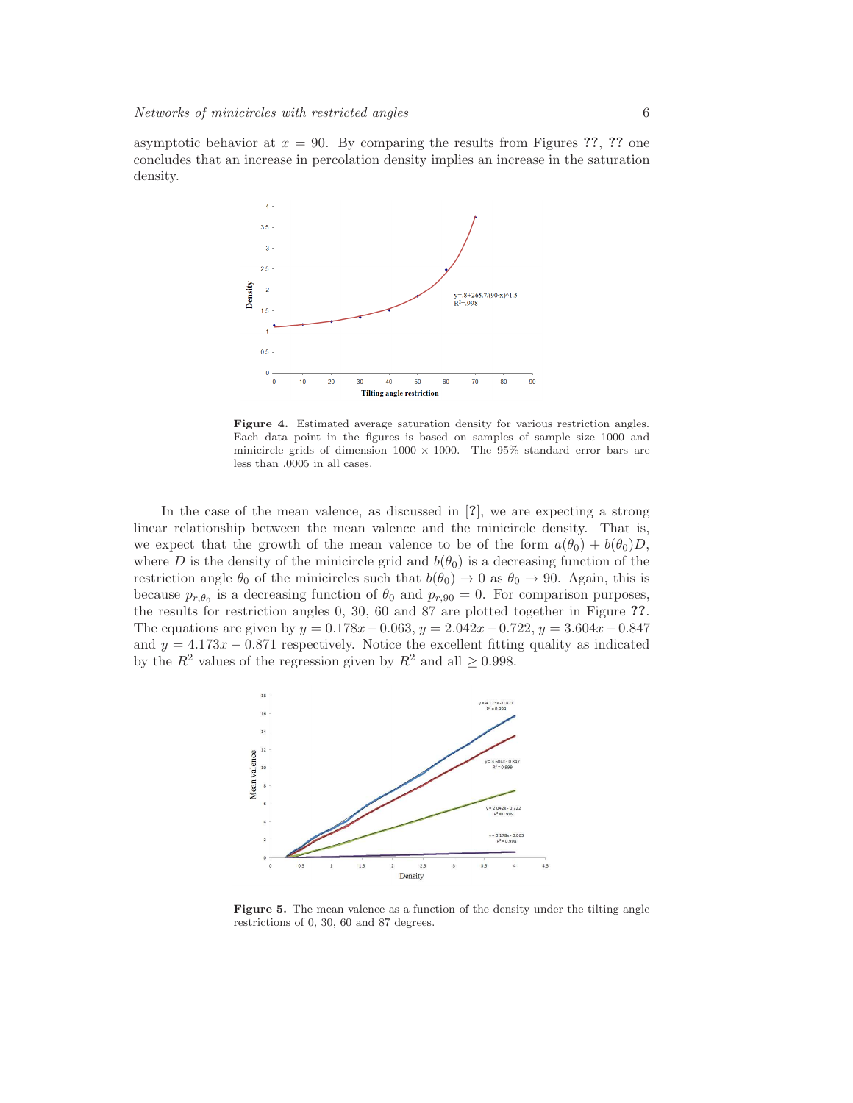asymptotic behavior at  $x = 90$ . By comparing the results from Figures ??, ?? one concludes that an increase in percolation density implies an increase in the saturation density.



Figure 4. Estimated average saturation density for various restriction angles. Each data point in the figures is based on samples of sample size 1000 and minicircle grids of dimension  $1000 \times 1000$ . The 95% standard error bars are less than .0005 in all cases.

In the case of the mean valence, as discussed in [?], we are expecting a strong linear relationship between the mean valence and the minicircle density. That is, we expect that the growth of the mean valence to be of the form  $a(\theta_0) + b(\theta_0)D$ , where D is the density of the minicircle grid and  $b(\theta_0)$  is a decreasing function of the restriction angle  $\theta_0$  of the minicircles such that  $b(\theta_0) \to 0$  as  $\theta_0 \to 90$ . Again, this is because  $p_{r,\theta_0}$  is a decreasing function of  $\theta_0$  and  $p_{r,90} = 0$ . For comparison purposes, the results for restriction angles 0, 30, 60 and 87 are plotted together in Figure ??. The equations are given by  $y = 0.178x - 0.063$ ,  $y = 2.042x - 0.722$ ,  $y = 3.604x - 0.847$ and  $y = 4.173x - 0.871$  respectively. Notice the excellent fitting quality as indicated by the  $R^2$  values of the regression given by  $R^2$  and all  $> 0.998$ .



Figure 5. The mean valence as a function of the density under the tilting angle restrictions of 0, 30, 60 and 87 degrees.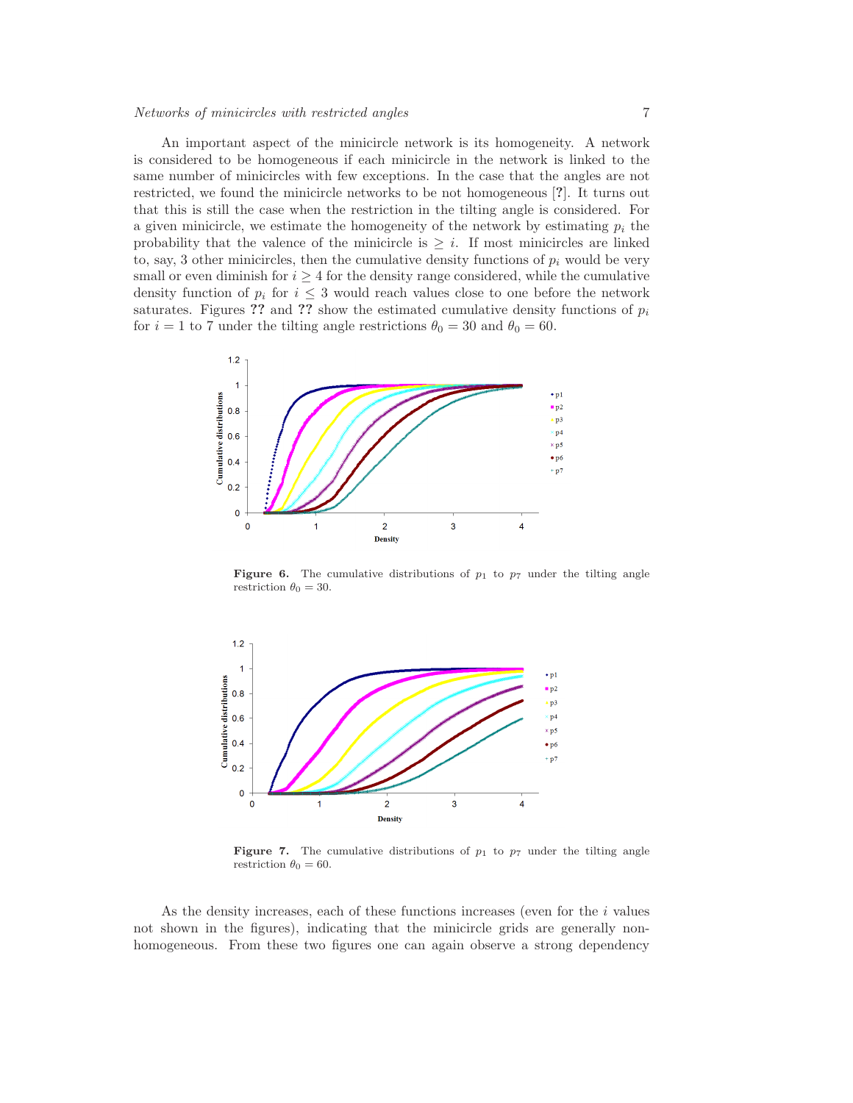#### Networks of minicircles with restricted angles 7

An important aspect of the minicircle network is its homogeneity. A network is considered to be homogeneous if each minicircle in the network is linked to the same number of minicircles with few exceptions. In the case that the angles are not restricted, we found the minicircle networks to be not homogeneous [?]. It turns out that this is still the case when the restriction in the tilting angle is considered. For a given minicircle, we estimate the homogeneity of the network by estimating  $p_i$  the probability that the valence of the minicircle is  $\geq i$ . If most minicircles are linked to, say, 3 other minicircles, then the cumulative density functions of  $p_i$  would be very small or even diminish for  $i \geq 4$  for the density range considered, while the cumulative density function of  $p_i$  for  $i \leq 3$  would reach values close to one before the network saturates. Figures ?? and ?? show the estimated cumulative density functions of  $p_i$ for  $i = 1$  to 7 under the tilting angle restrictions  $\theta_0 = 30$  and  $\theta_0 = 60$ .



Figure 6. The cumulative distributions of  $p_1$  to  $p_7$  under the tilting angle restriction  $\theta_0 = 30$ .



Figure 7. The cumulative distributions of  $p_1$  to  $p_7$  under the tilting angle restriction  $\theta_0 = 60$ .

As the density increases, each of these functions increases (even for the  $i$  values not shown in the figures), indicating that the minicircle grids are generally nonhomogeneous. From these two figures one can again observe a strong dependency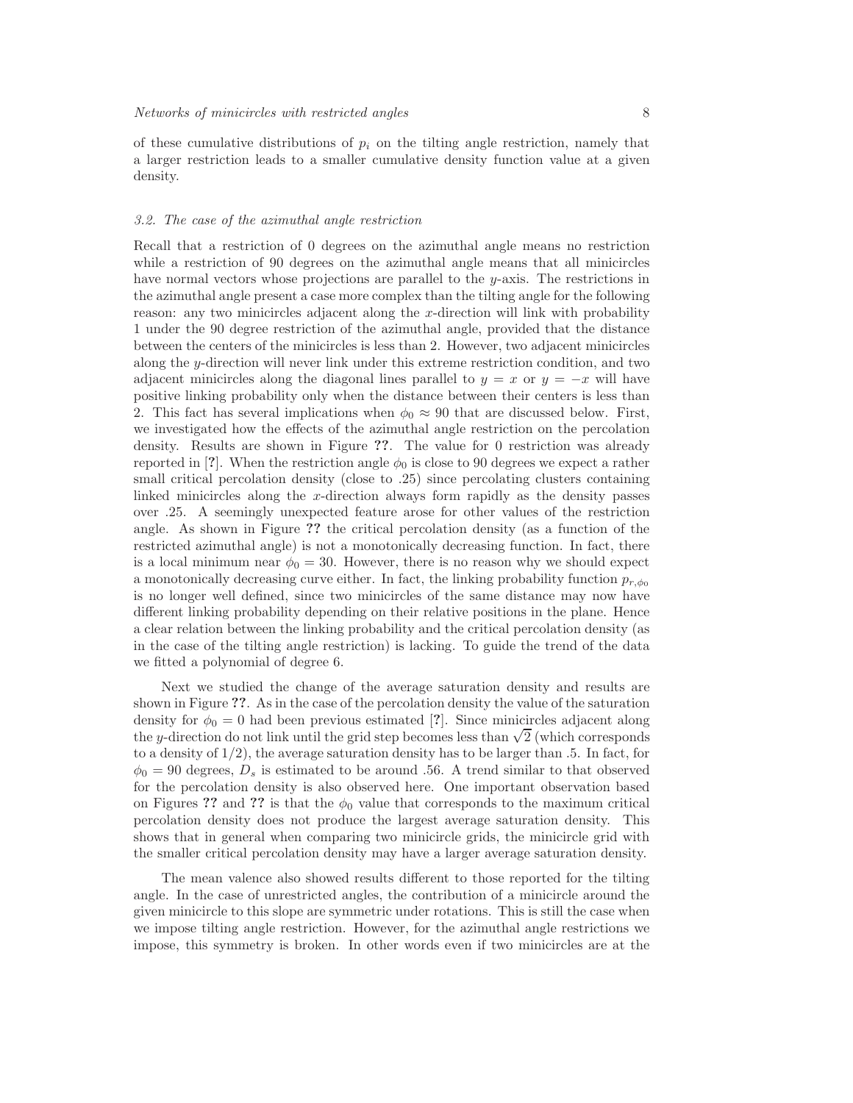of these cumulative distributions of  $p_i$  on the tilting angle restriction, namely that a larger restriction leads to a smaller cumulative density function value at a given density.

# 3.2. The case of the azimuthal angle restriction

Recall that a restriction of 0 degrees on the azimuthal angle means no restriction while a restriction of 90 degrees on the azimuthal angle means that all minicircles have normal vectors whose projections are parallel to the y-axis. The restrictions in the azimuthal angle present a case more complex than the tilting angle for the following reason: any two minicircles adjacent along the x-direction will link with probability 1 under the 90 degree restriction of the azimuthal angle, provided that the distance between the centers of the minicircles is less than 2. However, two adjacent minicircles along the y-direction will never link under this extreme restriction condition, and two adjacent minicircles along the diagonal lines parallel to  $y = x$  or  $y = -x$  will have positive linking probability only when the distance between their centers is less than 2. This fact has several implications when  $\phi_0 \approx 90$  that are discussed below. First, we investigated how the effects of the azimuthal angle restriction on the percolation density. Results are shown in Figure ??. The value for 0 restriction was already reported in [?]. When the restriction angle  $\phi_0$  is close to 90 degrees we expect a rather small critical percolation density (close to .25) since percolating clusters containing linked minicircles along the x-direction always form rapidly as the density passes over .25. A seemingly unexpected feature arose for other values of the restriction angle. As shown in Figure ?? the critical percolation density (as a function of the restricted azimuthal angle) is not a monotonically decreasing function. In fact, there is a local minimum near  $\phi_0 = 30$ . However, there is no reason why we should expect a monotonically decreasing curve either. In fact, the linking probability function  $p_{r,\phi_0}$ is no longer well defined, since two minicircles of the same distance may now have different linking probability depending on their relative positions in the plane. Hence a clear relation between the linking probability and the critical percolation density (as in the case of the tilting angle restriction) is lacking. To guide the trend of the data we fitted a polynomial of degree 6.

Next we studied the change of the average saturation density and results are shown in Figure ??. As in the case of the percolation density the value of the saturation density for  $\phi_0 = 0$  had been previous estimated [?]. Since minicircles adjacent along the y-direction do not link until the grid step becomes less than  $\sqrt{2}$  (which corresponds to a density of  $1/2$ , the average saturation density has to be larger than .5. In fact, for  $\phi_0 = 90$  degrees,  $D_s$  is estimated to be around .56. A trend similar to that observed for the percolation density is also observed here. One important observation based on Figures ?? and ?? is that the  $\phi_0$  value that corresponds to the maximum critical percolation density does not produce the largest average saturation density. This shows that in general when comparing two minicircle grids, the minicircle grid with the smaller critical percolation density may have a larger average saturation density.

The mean valence also showed results different to those reported for the tilting angle. In the case of unrestricted angles, the contribution of a minicircle around the given minicircle to this slope are symmetric under rotations. This is still the case when we impose tilting angle restriction. However, for the azimuthal angle restrictions we impose, this symmetry is broken. In other words even if two minicircles are at the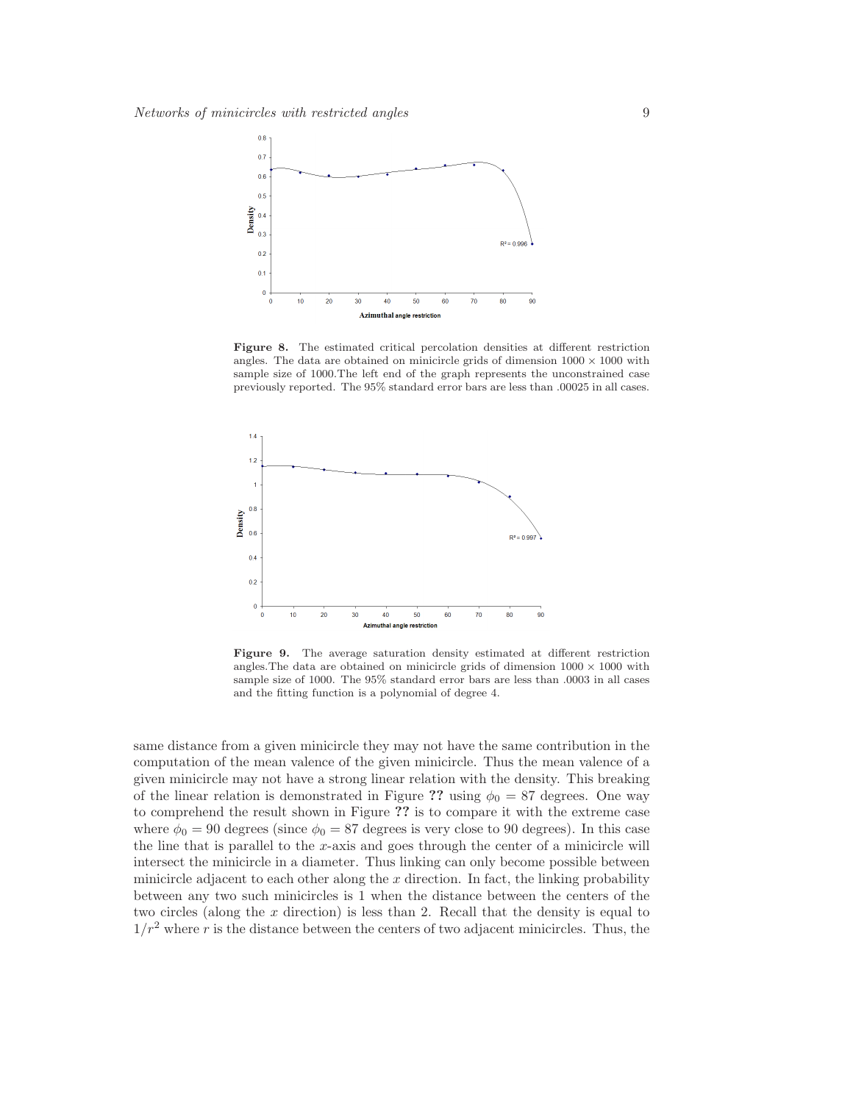

Figure 8. The estimated critical percolation densities at different restriction angles. The data are obtained on minicircle grids of dimension  $1000 \times 1000$  with sample size of 1000.The left end of the graph represents the unconstrained case previously reported. The 95% standard error bars are less than .00025 in all cases.



Figure 9. The average saturation density estimated at different restriction angles. The data are obtained on minicircle grids of dimension  $1000 \times 1000$  with sample size of 1000. The 95% standard error bars are less than .0003 in all cases and the fitting function is a polynomial of degree 4.

same distance from a given minicircle they may not have the same contribution in the computation of the mean valence of the given minicircle. Thus the mean valence of a given minicircle may not have a strong linear relation with the density. This breaking of the linear relation is demonstrated in Figure ?? using  $\phi_0 = 87$  degrees. One way to comprehend the result shown in Figure ?? is to compare it with the extreme case where  $\phi_0 = 90$  degrees (since  $\phi_0 = 87$  degrees is very close to 90 degrees). In this case the line that is parallel to the x-axis and goes through the center of a minicircle will intersect the minicircle in a diameter. Thus linking can only become possible between minicircle adjacent to each other along the  $x$  direction. In fact, the linking probability between any two such minicircles is 1 when the distance between the centers of the two circles (along the  $x$  direction) is less than 2. Recall that the density is equal to  $1/r^2$  where r is the distance between the centers of two adjacent minicircles. Thus, the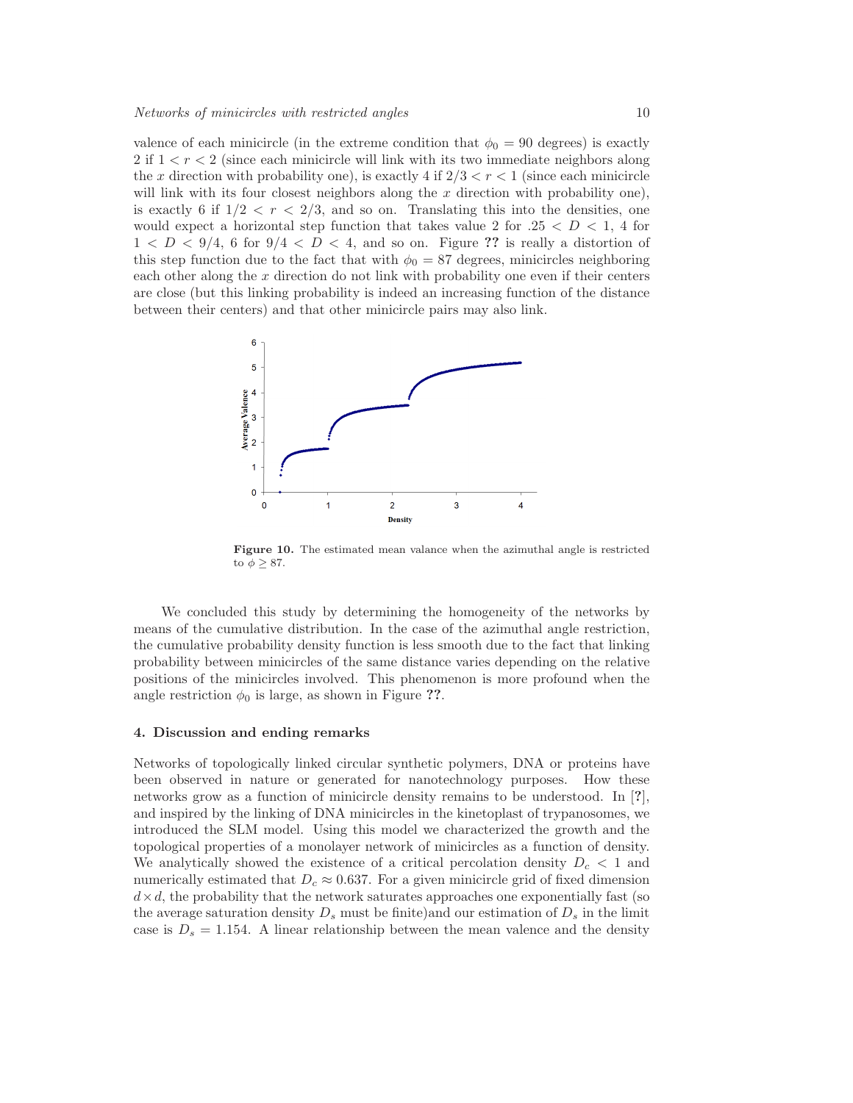valence of each minicircle (in the extreme condition that  $\phi_0 = 90$  degrees) is exactly 2 if  $1 < r < 2$  (since each minicircle will link with its two immediate neighbors along the x direction with probability one), is exactly 4 if  $2/3 < r < 1$  (since each minicircle will link with its four closest neighbors along the  $x$  direction with probability one), is exactly 6 if  $1/2 < r < 2/3$ , and so on. Translating this into the densities, one would expect a horizontal step function that takes value 2 for  $.25 < D < 1$ , 4 for  $1 < D < 9/4$ , 6 for  $9/4 < D < 4$ , and so on. Figure ?? is really a distortion of this step function due to the fact that with  $\phi_0 = 87$  degrees, minicircles neighboring each other along the  $x$  direction do not link with probability one even if their centers are close (but this linking probability is indeed an increasing function of the distance between their centers) and that other minicircle pairs may also link.



Figure 10. The estimated mean valance when the azimuthal angle is restricted to  $\phi \geq 87$ .

We concluded this study by determining the homogeneity of the networks by means of the cumulative distribution. In the case of the azimuthal angle restriction, the cumulative probability density function is less smooth due to the fact that linking probability between minicircles of the same distance varies depending on the relative positions of the minicircles involved. This phenomenon is more profound when the angle restriction  $\phi_0$  is large, as shown in Figure ??.

# 4. Discussion and ending remarks

Networks of topologically linked circular synthetic polymers, DNA or proteins have been observed in nature or generated for nanotechnology purposes. How these networks grow as a function of minicircle density remains to be understood. In [?], and inspired by the linking of DNA minicircles in the kinetoplast of trypanosomes, we introduced the SLM model. Using this model we characterized the growth and the topological properties of a monolayer network of minicircles as a function of density. We analytically showed the existence of a critical percolation density  $D_c < 1$  and numerically estimated that  $D_c \approx 0.637$ . For a given minicircle grid of fixed dimension  $d \times d$ , the probability that the network saturates approaches one exponentially fast (so the average saturation density  $D_s$  must be finite)and our estimation of  $D_s$  in the limit case is  $D_s = 1.154$ . A linear relationship between the mean valence and the density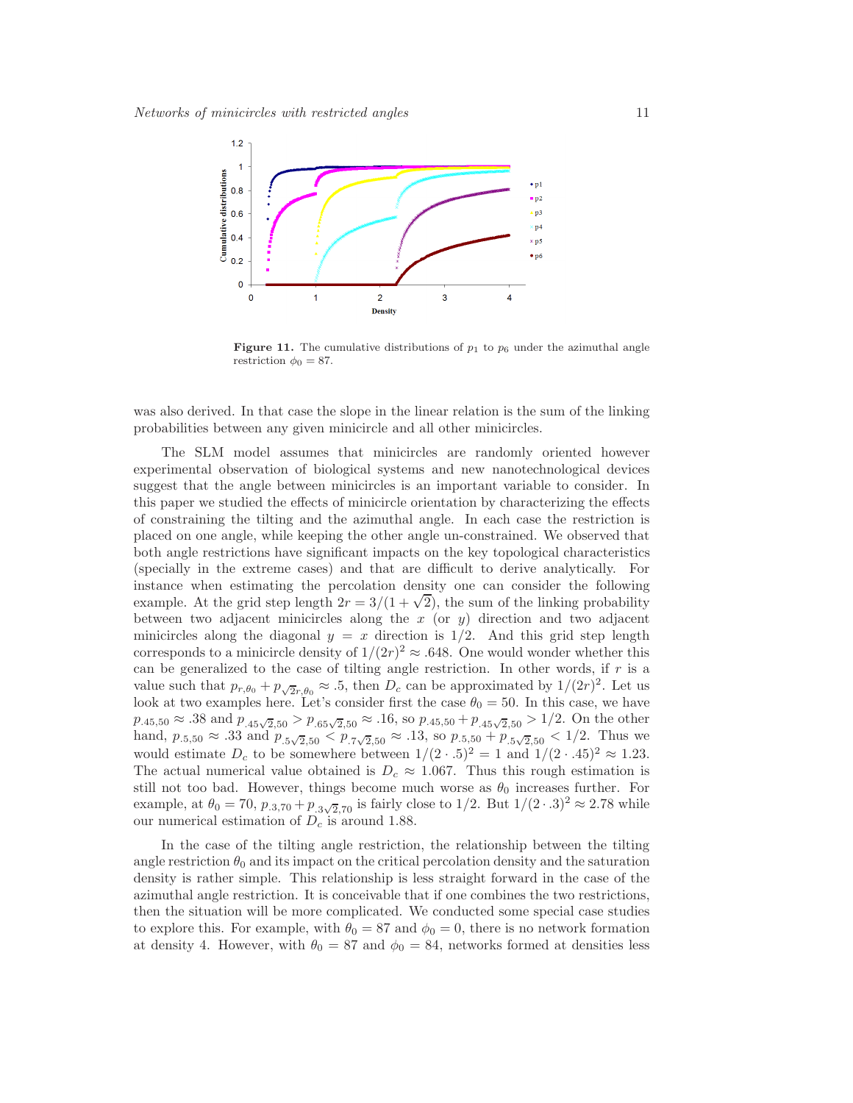

**Figure 11.** The cumulative distributions of  $p_1$  to  $p_6$  under the azimuthal angle restriction  $\phi_0 = 87$ .

was also derived. In that case the slope in the linear relation is the sum of the linking probabilities between any given minicircle and all other minicircles.

The SLM model assumes that minicircles are randomly oriented however experimental observation of biological systems and new nanotechnological devices suggest that the angle between minicircles is an important variable to consider. In this paper we studied the effects of minicircle orientation by characterizing the effects of constraining the tilting and the azimuthal angle. In each case the restriction is placed on one angle, while keeping the other angle un-constrained. We observed that both angle restrictions have significant impacts on the key topological characteristics (specially in the extreme cases) and that are difficult to derive analytically. For instance when estimating the percolation density one can consider the following example. At the grid step length  $2r = 3/(1 + \sqrt{2})$ , the sum of the linking probability between two adjacent minicircles along the  $x$  (or  $y$ ) direction and two adjacent minicircles along the diagonal  $y = x$  direction is  $1/2$ . And this grid step length corresponds to a minicircle density of  $1/(2r)^2 \approx .648$ . One would wonder whether this can be generalized to the case of tilting angle restriction. In other words, if  $r$  is a value such that  $p_{r,\theta_0} + p_{\sqrt{2}r,\theta_0} \approx .5$ , then  $D_c$  can be approximated by  $1/(2r)^2$ . Let us look at two examples here. Let's consider first the case  $\theta_0 = 50$ . In this case, we have  $p_{.45,50} \approx .38$  and  $p_{.45\sqrt{2},50} > p_{.65\sqrt{2},50} \approx .16$ , so  $p_{.45,50} + p_{.45\sqrt{2},50} > 1/2$ . On the other hand,  $p_{.5,50} \approx .33$  and  $p_{.5\sqrt{2},50} < p_{.7\sqrt{2},50} \approx .13$ , so  $p_{.5,50} + p_{.5\sqrt{2},50} < 1/2$ . Thus we would estimate  $D_c$  to be somewhere between  $1/(2 \cdot .5)^2 = 1$  and  $1/(2 \cdot .45)^2 \approx 1.23$ . The actual numerical value obtained is  $D_c \approx 1.067$ . Thus this rough estimation is still not too bad. However, things become much worse as  $\theta_0$  increases further. For example, at  $\theta_0 = 70$ ,  $p_{.3,70} + p_{.3\sqrt{2},70}$  is fairly close to 1/2. But  $1/(2 \cdot .3)^2 \approx 2.78$  while our numerical estimation of  $D_c$  is around 1.88.

In the case of the tilting angle restriction, the relationship between the tilting angle restriction  $\theta_0$  and its impact on the critical percolation density and the saturation density is rather simple. This relationship is less straight forward in the case of the azimuthal angle restriction. It is conceivable that if one combines the two restrictions, then the situation will be more complicated. We conducted some special case studies to explore this. For example, with  $\theta_0 = 87$  and  $\phi_0 = 0$ , there is no network formation at density 4. However, with  $\theta_0 = 87$  and  $\phi_0 = 84$ , networks formed at densities less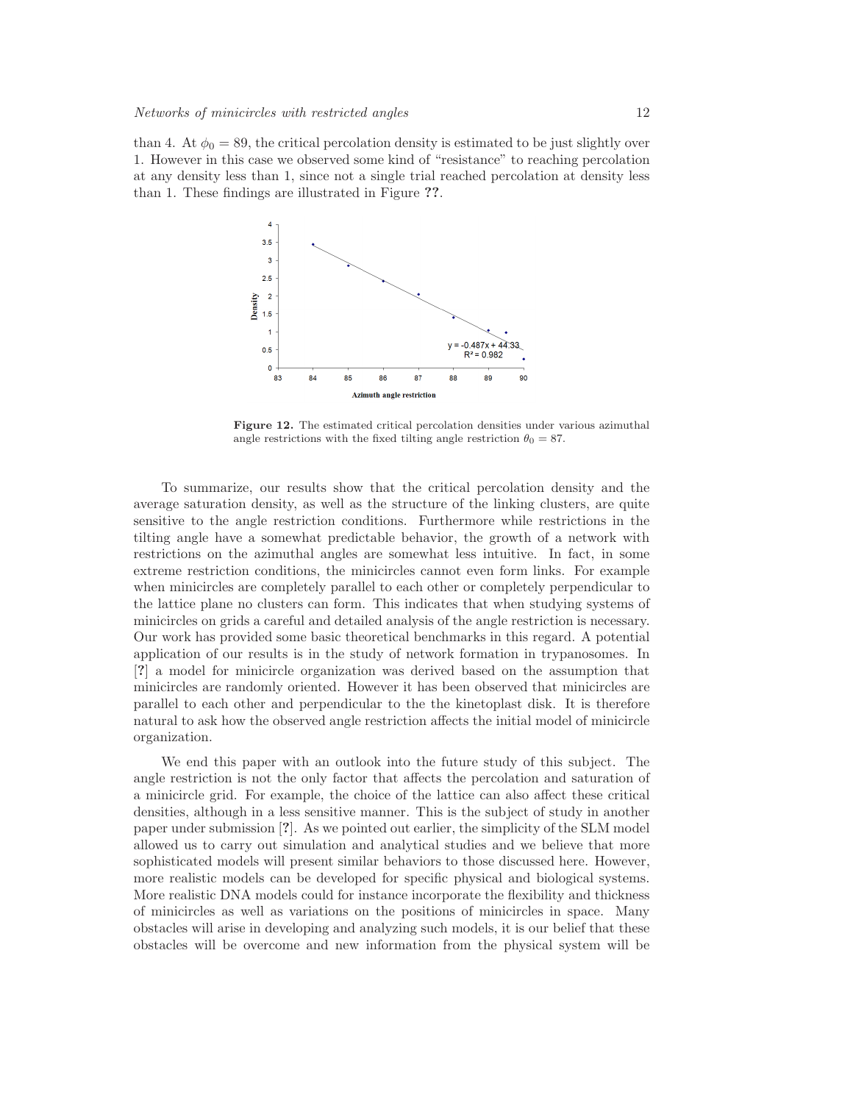than 4. At  $\phi_0 = 89$ , the critical percolation density is estimated to be just slightly over 1. However in this case we observed some kind of "resistance" to reaching percolation at any density less than 1, since not a single trial reached percolation at density less than 1. These findings are illustrated in Figure ??.



Figure 12. The estimated critical percolation densities under various azimuthal angle restrictions with the fixed tilting angle restriction  $\theta_0 = 87$ .

To summarize, our results show that the critical percolation density and the average saturation density, as well as the structure of the linking clusters, are quite sensitive to the angle restriction conditions. Furthermore while restrictions in the tilting angle have a somewhat predictable behavior, the growth of a network with restrictions on the azimuthal angles are somewhat less intuitive. In fact, in some extreme restriction conditions, the minicircles cannot even form links. For example when minicircles are completely parallel to each other or completely perpendicular to the lattice plane no clusters can form. This indicates that when studying systems of minicircles on grids a careful and detailed analysis of the angle restriction is necessary. Our work has provided some basic theoretical benchmarks in this regard. A potential application of our results is in the study of network formation in trypanosomes. In [?] a model for minicircle organization was derived based on the assumption that minicircles are randomly oriented. However it has been observed that minicircles are parallel to each other and perpendicular to the the kinetoplast disk. It is therefore natural to ask how the observed angle restriction affects the initial model of minicircle organization.

We end this paper with an outlook into the future study of this subject. The angle restriction is not the only factor that affects the percolation and saturation of a minicircle grid. For example, the choice of the lattice can also affect these critical densities, although in a less sensitive manner. This is the subject of study in another paper under submission [?]. As we pointed out earlier, the simplicity of the SLM model allowed us to carry out simulation and analytical studies and we believe that more sophisticated models will present similar behaviors to those discussed here. However, more realistic models can be developed for specific physical and biological systems. More realistic DNA models could for instance incorporate the flexibility and thickness of minicircles as well as variations on the positions of minicircles in space. Many obstacles will arise in developing and analyzing such models, it is our belief that these obstacles will be overcome and new information from the physical system will be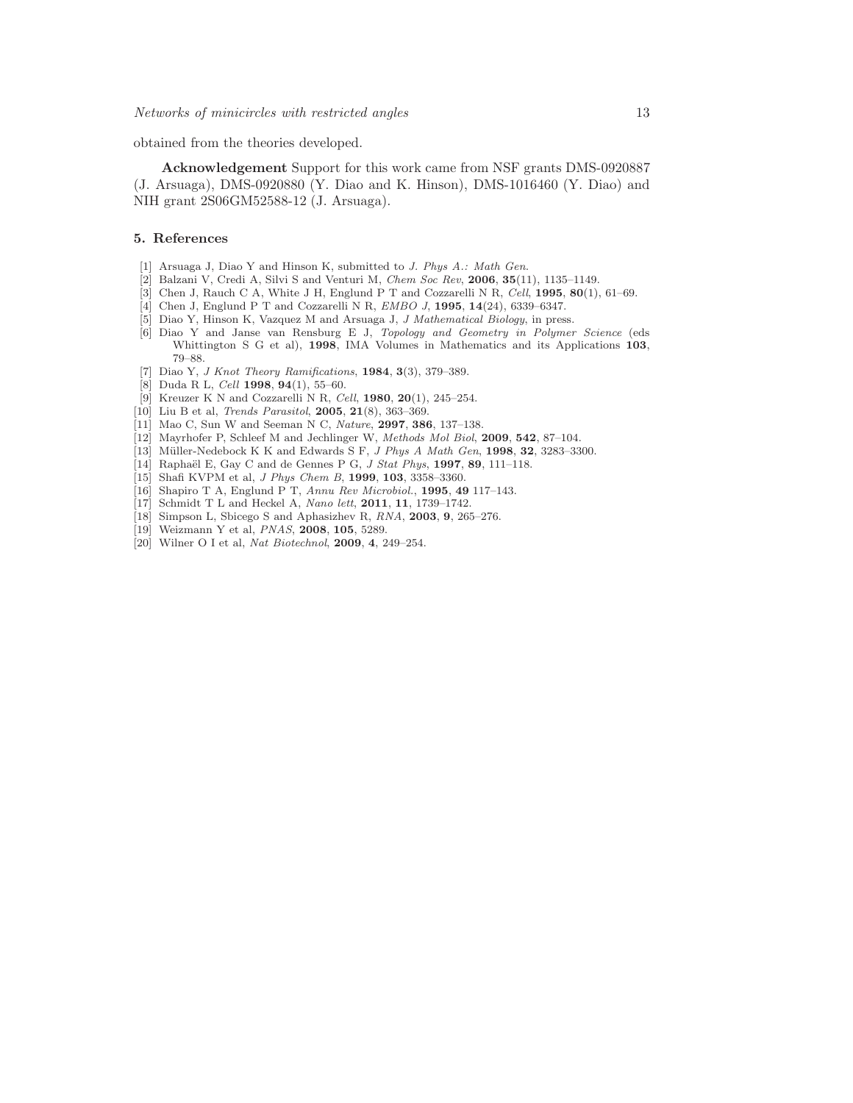obtained from the theories developed.

Acknowledgement Support for this work came from NSF grants DMS-0920887 (J. Arsuaga), DMS-0920880 (Y. Diao and K. Hinson), DMS-1016460 (Y. Diao) and NIH grant 2S06GM52588-12 (J. Arsuaga).

# 5. References

- [1] Arsuaga J, Diao Y and Hinson K, submitted to J. Phys A.: Math Gen.
- [2] Balzani V, Credi A, Silvi S and Venturi M, Chem Soc Rev,  $2006, 35(11)$ , 1135–1149.
- [3] Chen J, Rauch C A, White J H, Englund P T and Cozzarelli N R, Cell, 1995, 80(1), 61–69.
- [4] Chen J, Englund P T and Cozzarelli N R, *EMBO J*, **1995**, **14**(24), 6339–6347.
- [5] Diao Y, Hinson K, Vazquez M and Arsuaga J, J Mathematical Biology, in press.
- [6] Diao Y and Janse van Rensburg E J, Topology and Geometry in Polymer Science (eds Whittington S G et al), 1998, IMA Volumes in Mathematics and its Applications 103, 79–88.
- [7] Diao Y, *J Knot Theory Ramifications*, **1984**, **3**(3), 379-389.
- [8] Duda R L, Cell 1998, 94(1), 55–60.
- [9] Kreuzer K N and Cozzarelli N R, Cell, 1980, 20(1), 245–254.
- [10] Liu B et al, *Trends Parasitol*, **2005**, **21**(8), 363-369.
- [11] Mao C, Sun W and Seeman N C, Nature, 2997, 386, 137–138.
- [12] Mayrhofer P, Schleef M and Jechlinger W, Methods Mol Biol, 2009, 542, 87-104.
- [13] Müller-Nedebock K K and Edwards S F,  $J$  Phys A Math Gen, 1998, 32, 3283-3300.
- [14] Raphaël E, Gay C and de Gennes P G, *J Stat Phys*, **1997**, **89**, 111–118.
- [15] Shafi KVPM et al, *J Phys Chem B*, **1999**, **103**, 3358-3360.
- [16] Shapiro T A, Englund P T, Annu Rev Microbiol., 1995, 49 117–143.
- [17] Schmidt T L and Heckel A, Nano lett, 2011, 11, 1739–1742.
- [18] Simpson L, Sbicego S and Aphasizhev R, RNA, 2003, 9, 265–276.
- [19] Weizmann Y et al, PNAS, 2008, 105, 5289.
- [20] Wilner O I et al, Nat Biotechnol, 2009, 4, 249–254.